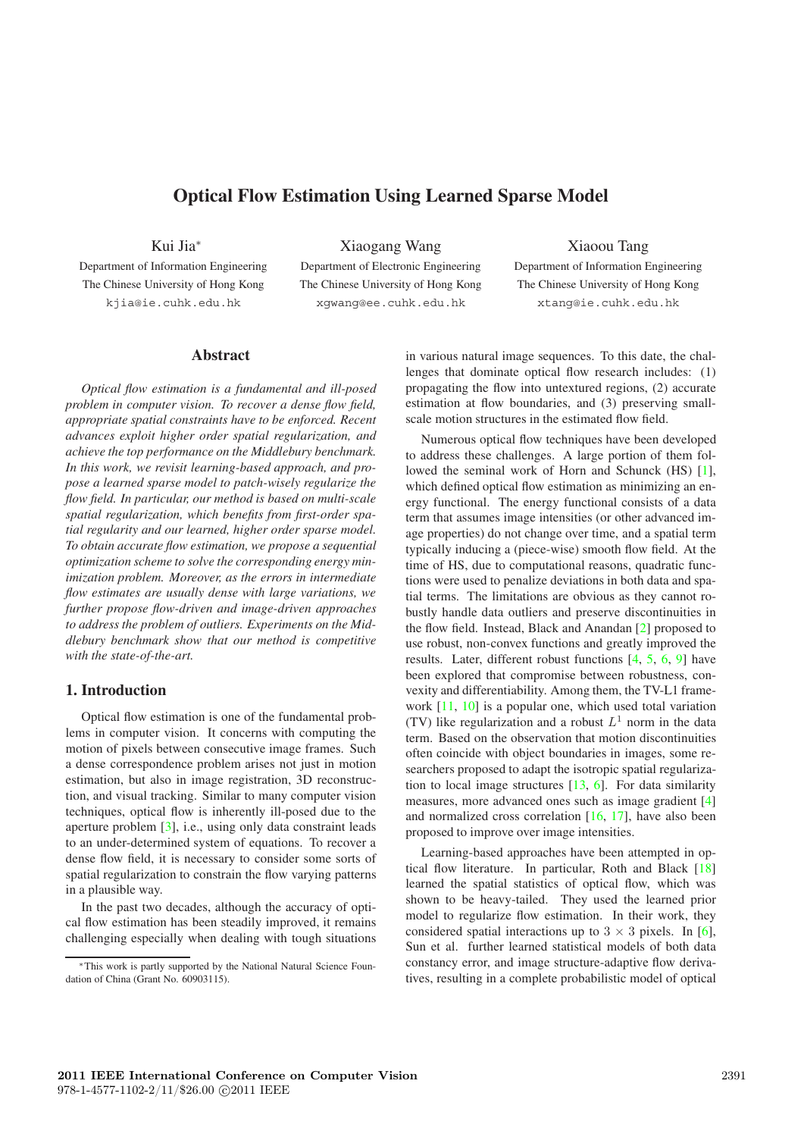# **Optical Flow Estimation Using Learned Sparse Model**

Kui Jia ∗

Department of Information Engineering The Chinese University of Hong Kong kjia@ie.cuhk.edu.hk

Xiaogang Wang

Department of Electronic Engineering The Chinese University of Hong Kong xgwang@ee.cuhk.edu.hk

Xiaoou Tang Department of Information Engineering The Chinese University of Hong Kong xtang@ie.cuhk.edu.hk

## **Abstract**

*Optical flow estimation is a fundamental and ill-posed problem in computer vision. To recover a dense flow field, appropriate spatial constraints have to be enforced. Recent advances exploit higher order spatial regularization, and achieve the top performance on the Middlebury benchmark. In this work, we revisit learning-based approach, and propose a learned sparse model to patch-wisely regularize the flow field. In particular, our method is based on multi-scale spatial regularization, which benefits from first-order spatial regularity and our learned, higher order sparse model. To obtain accurate flow estimation, we propose a sequential optimization scheme to solve the corresponding energy minimization problem. Moreover, as the errors in intermediate flow estimates are usually dense with large variations, we further propose flow-driven and image-driven approaches to address the problem of outliers. Experiments on the Middlebury benchmark show that our method is competitive with the state-of-the-art.*

## **1. Introduction**

Optical flow estimation is one of the fundamental problems in computer vision. It concerns with computing the motion of pixels between consecutive image frames. Such a dense correspondence problem arises not just in motion estimation, but also in image registration, 3D reconstruction, and visual tracking. Similar to many computer vision techniques, optical flow is inherently ill-posed due to the aperture problem [ 3], i.e., using only data constraint leads to an under-determined system of equations. To recover a dense flow field, it is necessary to consider some sorts of spatial regularization to constrain the flow varying patterns in a plausible way.

In the past two decades, although the accuracy of optical flow estimation has been steadily improved, it remains challenging especially when dealing with tough situations

in various natural image sequences. To this date, the challenges that dominate optical flow research includes: (1) propagating the flow into untextured regions, (2) accurate estimation at flow boundaries, and (3) preserving smallscale motion structures in the estimated flow field.

Numerous optical flow techniques have been developed to address these challenges. A large portion of them followed the seminal work of Horn and Schunck (HS) [1], which defined optical flow estimation as minimizing an energy functional. The energy functional consists of a data term that assumes image intensities (or other advanced image properties) do not change over time, and a spatial term typically inducing a (piece-wise) smooth flow field. At the time of HS, due to computational reasons, quadratic functions were used to penalize deviations in both data and spatial terms. The limitations are obvious as they cannot robustly handle data outliers and preserve discontinuities in the flow field. Instead, Black and Anandan [ 2] proposed to use robust, non-convex functions and greatly improved the results. Later, different robust functions  $[4, 5, 6, 9]$  have been explored that compromise between robustness, convexity and differentiability. Among them, the TV-L1 framework [11, 10] is a popular one, which used total variation (TV) like regularization and a robust  $L<sup>1</sup>$  norm in the data term. Based on the observation that motion discontinuities often coincide with object boundaries in images, some researchers proposed to adapt the isotropic spatial regularization to local image structures [13, 6]. For data similarity measures, more advanced ones such as image gradient [ 4 ] and normalized cross correlation  $[16, 17]$ , have also been proposed to improve over image intensities.

Learning-based approaches have been attempted in optical flow literature. In particular, Roth and Black [18] learned the spatial statistics of optical flow, which was shown to be heavy-tailed. They used the learned prior model to regularize flow estimation. In their work, they considered spatial interactions up to  $3 \times 3$  pixels. In [6], Sun et al. further learned statistical models of both data constancy error, and image structure-adaptive flow derivatives, resulting in a complete probabilistic model of optical

<sup>∗</sup>This work is partly supported by the National Natural Science Foundation of China (Grant No. 60903115).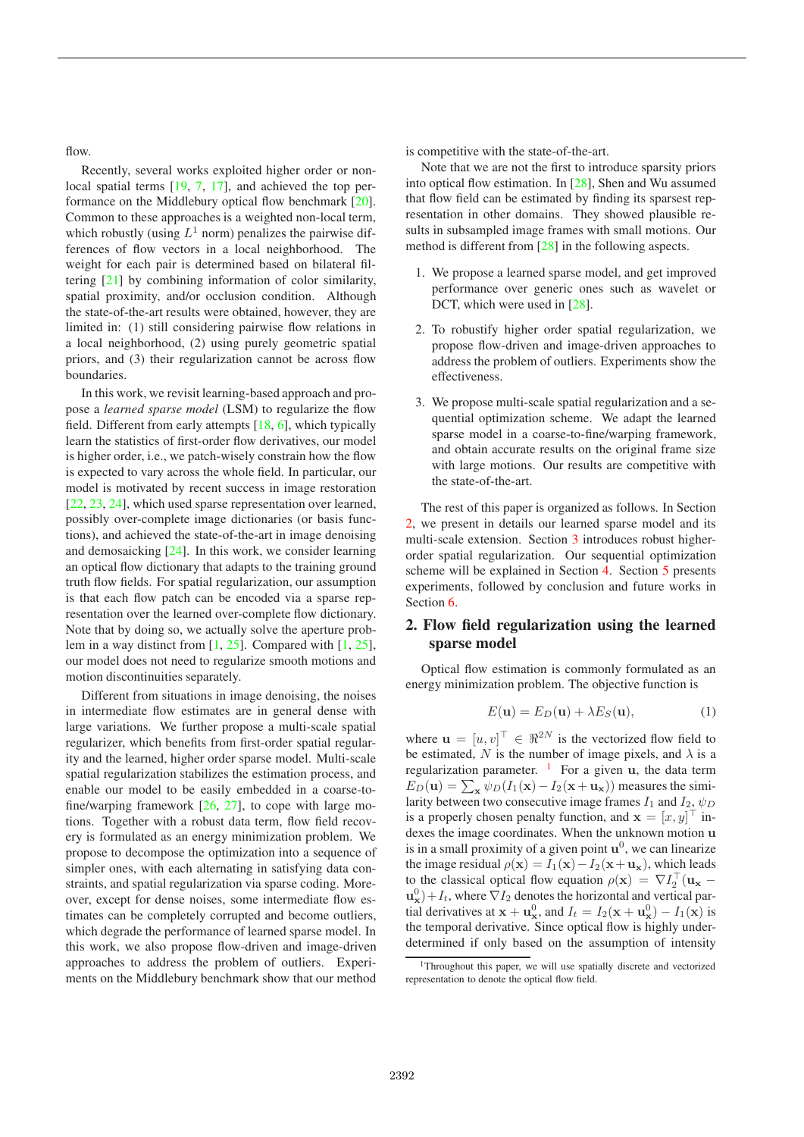flow.

Recently, several works exploited higher order or nonlocal spatial terms [19, 7, 17], and achieved the top performance on the Middlebury optical flow benchmark [20]. Common to these approaches is a weighted non-local term, which robustly (using  $L^1$  norm) penalizes the pairwise differences of flow vectors in a local neighborhood. The weight for each pair is determined based on bilateral filtering [21] by combining information of color similarity, spatial proximity, and/or occlusion condition. Although the state-of-the-art results were obtained, however, they are limited in: (1) still considering pairwise flow relations in a local neighborhood, (2) using purely geometric spatial priors, and (3) their regularization cannot be across flow boundaries.

In this work, we revisit learning-based approach and propose a *learned sparse model* (LSM) to regularize the flow field. Different from early attempts  $[18, 6]$ , which typically learn the statistics of first-order flow derivatives, our model is higher order, i.e., we patch-wisely constrain how the flow is expected to vary across the whole field. In particular, our model is motivated by recent success in image restoration [22, 23, 24], which used sparse representation over learned, possibly over-complete image dictionaries (or basis functions), and achieved the state-of-the-art in image denoising and demosaicking [24]. In this work, we consider learning an optical flow dictionary that adapts to the training ground truth flow fields. For spatial regularization, our assumption is that each flow patch can be encoded via a sparse representation over the learned over-complete flow dictionary. Note that by doing so, we actually solve the aperture problem in a way distinct from [1, 25]. Compared with [1, 25], our model does not need to regularize smooth motions and motion discontinuities separately.

Different from situations in image denoising, the noises in intermediate flow estimates are in general dense with large variations. We further propose a multi-scale spatial regularizer, which benefits from first-order spatial regularity and the learned, higher order sparse model. Multi-scale spatial regularization stabilizes the estimation process, and enable our model to be easily embedded in a coarse-tofine/warping framework [26, 27], to cope with large motions. Together with a robust data term, flow field recovery is formulated as an energy minimization problem. We propose to decompose the optimization into a sequence of simpler ones, with each alternating in satisfying data constraints, and spatial regularization via sparse coding. Moreover, except for dense noises, some intermediate flow estimates can be completely corrupted and become outliers, which degrade the performance of learned sparse model. In this work, we also propose flow-driven and image-driven approaches to address the problem of outliers. Experiments on the Middlebury benchmark show that our method is competitive with the state-of-the-art.

Note that we are not the first to introduce sparsity priors into optical flow estimation. In [28], Shen and Wu assumed that flow field can be estimated by finding its sparsest representation in other domains. They showed plausible results in subsampled image frames with small motions. Our method is different from [28] in the following aspects.

- 1. We propose a learned sparse model, and get improved performance over generic ones such as wavelet or DCT, which were used in [28].
- 2. To robustify higher order spatial regularization, we propose flow-driven and image-driven approaches to address the problem of outliers. Experiments show the effectiveness.
- 3. We propose multi-scale spatial regularization and a sequential optimization scheme. We adapt the learned sparse model in a coarse-to-fine/warping framework, and obtain accurate results on the original frame size with large motions. Our results are competitive with the state-of-the-art.

The rest of this paper is organized as follows. In Section 2, we present in details our learned sparse model and its multi-scale extension. Section 3 introduces robust higherorder spatial regularization. Our sequential optimization scheme will be explained in Section 4. Section 5 presents experiments, followed by conclusion and future works in Section 6.

## **2. Flow field regularization using the learned sparse model**

Optical flow estimation is commonly formulated as an energy minimization problem. The objective function is

$$
E(\mathbf{u}) = E_D(\mathbf{u}) + \lambda E_S(\mathbf{u}),\tag{1}
$$

where  $\mathbf{u} = [u, v]^\top \in \Re^{2N}$  is the vectorized flow field to be estimated, N is the number of image pixels, and  $\lambda$  is a regularization parameter.  $\frac{1}{1}$  For a given **u**, the data term  $E_D(\mathbf{u}) = \sum_{\mathbf{x}} \psi_D(I_1(\mathbf{x}) - I_2(\mathbf{x} + \mathbf{u}_\mathbf{x}))$  measures the similarity between two consecutive image frames  $I_1$  and  $I_2$ ,  $\psi_D$ is a properly chosen penalty function, and  $\mathbf{x} = [x, y]^\top$  indexes the image coordinates. When the unknown motion **u** is in a small proximity of a given point  $\mathbf{u}^0$ , we can linearize the image residual  $\rho(\mathbf{x}) = I_1(\mathbf{x}) - I_2(\mathbf{x}+\mathbf{u}_\mathbf{x})$ , which leads to the classical optical flow equation  $\rho(\mathbf{x}) = \nabla I_2^{\top}(\mathbf{u}_\mathbf{x} - \mathbf{v}_\mathbf{x})$  $\mathbf{u}_{\mathbf{x}}^{0}$  +  $I_{t}$ , where  $\nabla I_{2}$  denotes the horizontal and vertical partial derivatives at  $\mathbf{x} + \mathbf{u}_\mathbf{x}^0$ , and  $I_t = I_2(\mathbf{x} + \mathbf{u}_\mathbf{x}^0) - I_1(\mathbf{x})$  is the temporal derivative. Since optical flow is highly underdetermined if only based on the assumption of intensity

<sup>&</sup>lt;sup>1</sup>Throughout this paper, we will use spatially discrete and vectorized representation to denote the optical flow field.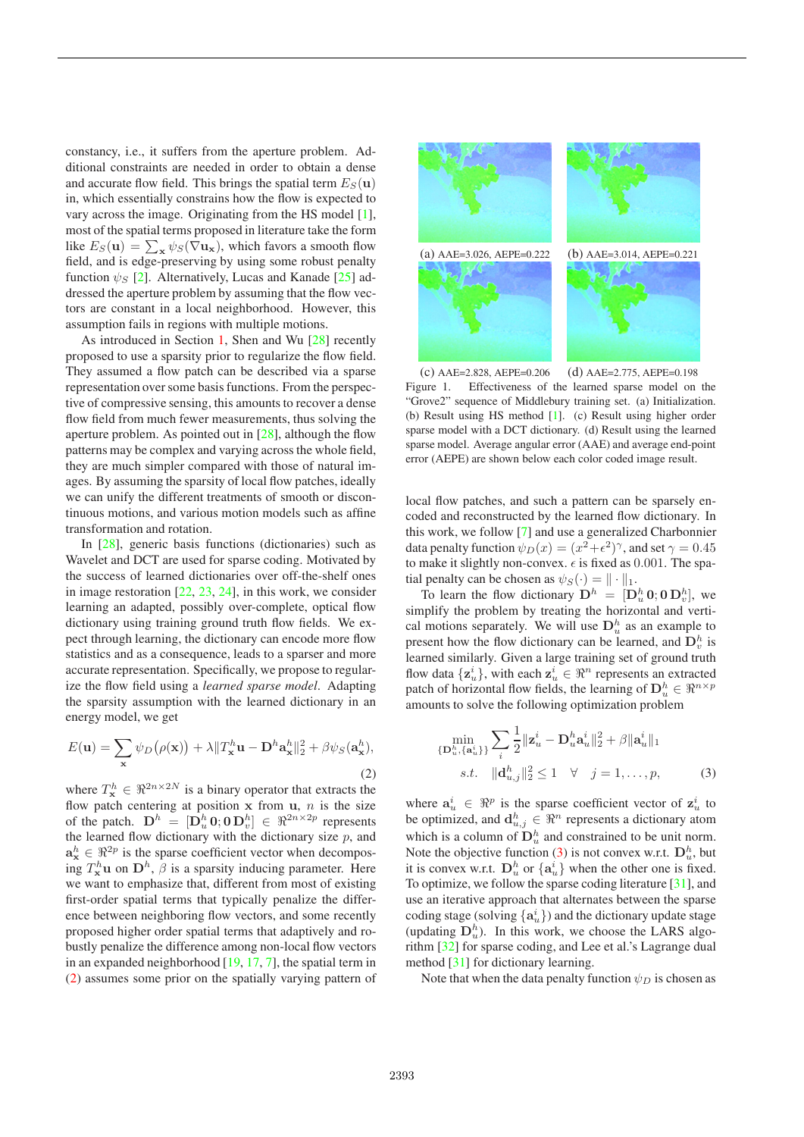constancy, i.e., it suffers from the aperture problem. Additional constraints are needed in order to obtain a dense and accurate flow field. This brings the spatial term  $E_S(\mathbf{u})$ in, which essentially constrains how the flow is expected to vary across the image. Originating from the HS model [1], most of the spatial terms proposed in literature take the form like  $E_S(\mathbf{u}) = \sum_{\mathbf{x}} \psi_S(\nabla \mathbf{u}_{\mathbf{x}})$ , which favors a smooth flow field, and is edge-preserving by using some robust penalty function  $\psi_{S}$  [2]. Alternatively, Lucas and Kanade [25] addressed the aperture problem by assuming that the flow vectors are constant in a local neighborhood. However, this assumption fails in regions with multiple motions.

As introduced in Section 1, Shen and Wu [28] recently proposed to use a sparsity prior to regularize the flow field. They assumed a flow patch can be described via a sparse representation over some basis functions. From the perspective of compressive sensing, this amounts to recover a dense flow field from much fewer measurements, thus solving the aperture problem. As pointed out in  $[28]$ , although the flow patterns may be complex and varying across the whole field, they are much simpler compared with those of natural images. By assuming the sparsity of local flow patches, ideally we can unify the different treatments of smooth or discontinuous motions, and various motion models such as affine transformation and rotation.

In [28], generic basis functions (dictionaries) such as Wavelet and DCT are used for sparse coding. Motivated by the success of learned dictionaries over off-the-shelf ones in image restoration [22, 23, 24], in this work, we consider learning an adapted, possibly over-complete, optical flow dictionary using training ground truth flow fields. We expect through learning, the dictionary can encode more flow statistics and as a consequence, leads to a sparser and more accurate representation. Specifically, we propose to regularize the flow field using a *learned sparse model*. Adapting the sparsity assumption with the learned dictionary in an energy model, we get

$$
E(\mathbf{u}) = \sum_{\mathbf{x}} \psi_D(\rho(\mathbf{x})) + \lambda \|T_\mathbf{x}^h \mathbf{u} - \mathbf{D}^h \mathbf{a}_{\mathbf{x}}^h\|_2^2 + \beta \psi_S(\mathbf{a}_{\mathbf{x}}^h),
$$
\n(2)

where  $T_{\mathbf{x}}^h \in \Re^{2n \times 2N}$  is a binary operator that extracts the flow patch centering at position  $x$  from  $u$ ,  $n$  is the size of the patch.  $\mathbf{D}^h = [\mathbf{D}_u^h \mathbf{0}; \mathbf{0} \mathbf{D}_v^h] \in \Re^{2n \times 2p}$  represents the learned flow dictionary with the dictionary size  $p$ , and  $\mathbf{a}_{\mathbf{x}}^h \in \mathbb{R}^{2p}$  is the sparse coefficient vector when decompos- $\lim_{k \to \infty} T_{\mathbf{x}}^{h} \mathbf{u}$  on  $\mathbf{D}^{h}$ ,  $\beta$  is a sparsity inducing parameter. Here we want to emphasize that, different from most of existing first-order spatial terms that typically penalize the difference between neighboring flow vectors, and some recently proposed higher order spatial terms that adaptively and robustly penalize the difference among non-local flow vectors in an expanded neighborhood [19, 17, 7], the spatial term in (2) assumes some prior on the spatially varying pattern of



(c) AAE=2.828, AEPE=0.206 (d) AAE=2.775, AEPE=0.198 Figure 1. Effectiveness of the learned sparse model on the "Grove2" sequence of Middlebury training set. (a) Initialization. (b) Result using HS method [1]. (c) Result using higher order sparse model with a DCT dictionary. (d) Result using the learned sparse model. Average angular error (AAE) and average end-point error (AEPE) are shown below each color coded image result.

local flow patches, and such a pattern can be sparsely encoded and reconstructed by the learned flow dictionary. In this work, we follow [7] and use a generalized Charbonnier data penalty function  $\psi_D(x)=(x^2+\epsilon^2)^{\gamma}$ , and set  $\gamma = 0.45$ to make it slightly non-convex.  $\epsilon$  is fixed as 0.001. The spatial penalty can be chosen as  $\psi_S(\cdot) = || \cdot ||_1$ .

To learn the flow dictionary  $D^h = [\mathbf{D}_u^h \mathbf{0}; \mathbf{0} \mathbf{D}_v^h]$ , we simplify the problem by treating the horizontal and vertical motions separately. We will use  $D_u^h$  as an example to present how the flow dictionary can be learned, and  $D_v^h$  is learned similarly. Given a large training set of ground truth flow data  $\{z_u^i\}$ , with each  $z_u^i \in \Re^n$  represents an extracted patch of horizontal flow fields, the learning of  $\mathbf{D}_u^h \in \Re^{n \times p}$ amounts to solve the following optimization problem

$$
\min_{\{\mathbf{D}_u^h, \{\mathbf{a}_u^i\}\}} \sum_i \frac{1}{2} \|\mathbf{z}_u^i - \mathbf{D}_u^h \mathbf{a}_u^i\|_2^2 + \beta \|\mathbf{a}_u^i\|_1
$$
  
s.t. 
$$
\|\mathbf{d}_{u,j}^h\|_2^2 \le 1 \quad \forall \quad j = 1, \dots, p,
$$
 (3)

where  $a^i_u \text{ }\in \mathbb{R}^p$  is the sparse coefficient vector of  $z^i_u$  to be optimized, and  $\mathbf{d}_{u,j}^h \in \Re^n$  represents a dictionary atom which is a column of  $\mathbf{D}_u^h$  and constrained to be unit norm. Note the objective function (3) is not convex w.r.t.  $D_u^h$ , but it is convex w.r.t.  $D_u^h$  or  $\{a_u^i\}$  when the other one is fixed. To optimize, we follow the sparse coding literature [31], and use an iterative approach that alternates between the sparse coding stage (solving  $\{a_u^i\}$ ) and the dictionary update stage (updating  $D_u^h$ ). In this work, we choose the LARS algorithm [32] for sparse coding, and Lee et al.'s Lagrange dual method [31] for dictionary learning.

Note that when the data penalty function  $\psi_D$  is chosen as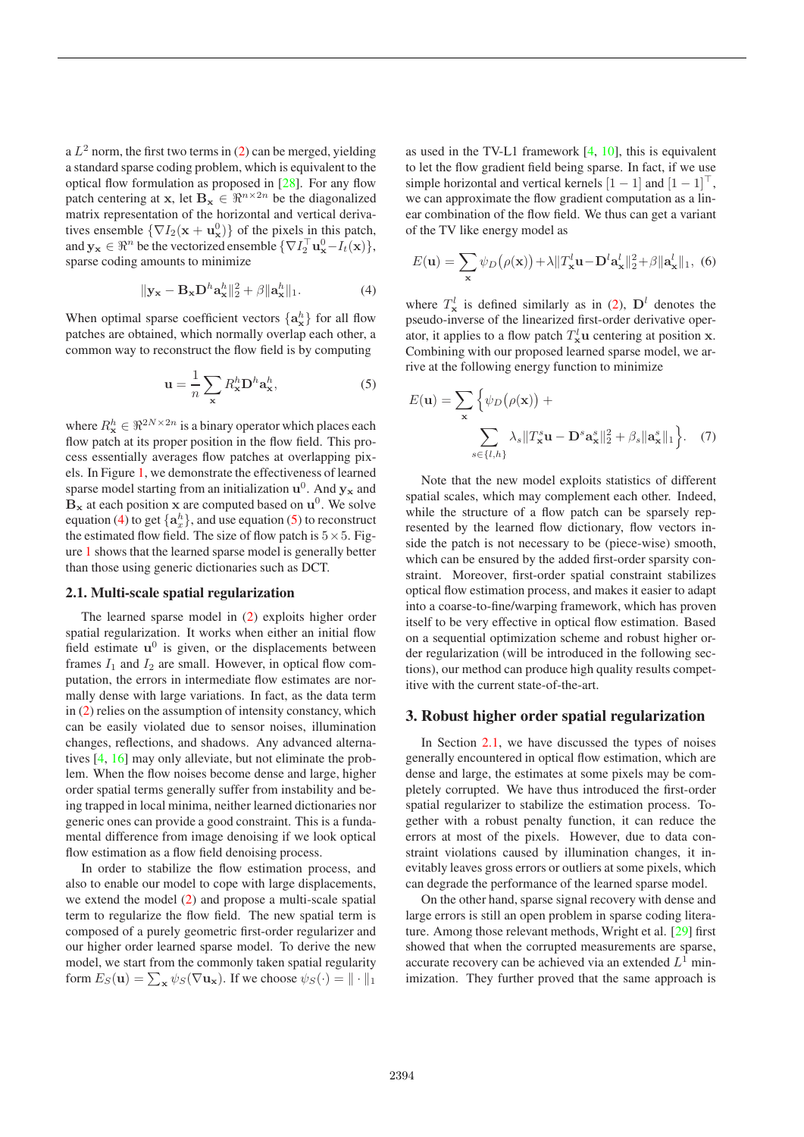a  $L^2$  norm, the first two terms in (2) can be merged, yielding a standard sparse coding problem, which is equivalent to the optical flow formulation as proposed in [28]. For any flow patch centering at **x**, let **Bx**  $\in \mathbb{R}^{n \times 2n}$  be the diagonalized matrix representation of the horizontal and vertical derivatives ensemble  $\{\nabla I_2(\mathbf{x} + \mathbf{u}_\mathbf{x}^0)\}\)$  of the pixels in this patch, and  $\mathbf{y_x} \in \mathbb{R}^n$  be the vectorized ensemble  $\{\nabla I_2^{\top} \mathbf{u}_\mathbf{x}^0 - I_t(\mathbf{x})\},\$ sparse coding amounts to minimize

$$
\|\mathbf{y}_{\mathbf{x}} - \mathbf{B}_{\mathbf{x}} \mathbf{D}^h \mathbf{a}_{\mathbf{x}}^h\|_2^2 + \beta \|\mathbf{a}_{\mathbf{x}}^h\|_1. \tag{4}
$$

When optimal sparse coefficient vectors  $\{a_{\mathbf{x}}^h\}$  for all flow patches are obtained, which normally overlap each other, a common way to reconstruct the flow field is by computing

$$
\mathbf{u} = \frac{1}{n} \sum_{\mathbf{x}} R_{\mathbf{x}}^{h} \mathbf{D}^{h} \mathbf{a}_{\mathbf{x}}^{h}, \tag{5}
$$

where  $R_{\mathbf{x}}^h \in \mathbb{R}^{2N \times 2n}$  is a binary operator which places each flow patch at its proper position in the flow field. This process essentially averages flow patches at overlapping pixels. In Figure 1, we demonstrate the effectiveness of learned sparse model starting from an initialization  $\mathbf{u}^0$ . And  $\mathbf{y}_\mathbf{x}$  and  $\mathbf{B}_{\mathbf{x}}$  at each position **x** are computed based on  $\mathbf{u}^0$ . We solve equation (4) to get  $\{a_x^h\}$ , and use equation (5) to reconstruct the estimated flow field. The size of flow patch is  $5 \times 5$ . Figure 1 shows that the learned sparse model is generally better than those using generic dictionaries such as DCT.

#### **2.1. Multi-scale spatial regularization**

The learned sparse model in (2) exploits higher order spatial regularization. It works when either an initial flow field estimate **u**<sup>0</sup> is given, or the displacements between frames  $I_1$  and  $I_2$  are small. However, in optical flow computation, the errors in intermediate flow estimates are normally dense with large variations. In fact, as the data term in (2) relies on the assumption of intensity constancy, which can be easily violated due to sensor noises, illumination changes, reflections, and shadows. Any advanced alternatives [4, 16] may only alleviate, but not eliminate the problem. When the flow noises become dense and large, higher order spatial terms generally suffer from instability and being trapped in local minima, neither learned dictionaries nor generic ones can provide a good constraint. This is a fundamental difference from image denoising if we look optical flow estimation as a flow field denoising process.

In order to stabilize the flow estimation process, and also to enable our model to cope with large displacements, we extend the model (2) and propose a multi-scale spatial term to regularize the flow field. The new spatial term is composed of a purely geometric first-order regularizer and our higher order learned sparse model. To derive the new model, we start from the commonly taken spatial regularity form  $E_S(\mathbf{u}) = \sum_{\mathbf{x}} \psi_S(\nabla \mathbf{u}_{\mathbf{x}})$ . If we choose  $\psi_S(\cdot) = ||\cdot||_1$ 

as used in the TV-L1 framework [4, 10], this is equivalent to let the flow gradient field being sparse. In fact, if we use simple horizontal and vertical kernels  $[1 - 1]$  and  $[1 - 1]^\top$ , we can approximate the flow gradient computation as a linear combination of the flow field. We thus can get a variant of the TV like energy model as

$$
E(\mathbf{u}) = \sum_{\mathbf{x}} \psi_D(\rho(\mathbf{x})) + \lambda \|T_\mathbf{x}^l \mathbf{u} - \mathbf{D}^l \mathbf{a}_{\mathbf{x}}^l\|_2^2 + \beta \|\mathbf{a}_{\mathbf{x}}^l\|_1, \tag{6}
$$

where  $T^l_{\mathbf{x}}$  is defined similarly as in (2),  $\mathbf{D}^l$  denotes the pseudo-inverse of the linearized first-order derivative operator, it applies to a flow patch  $T^l$ **u** centering at position **x**. Combining with our proposed learned sparse model, we arrive at the following energy function to minimize

$$
E(\mathbf{u}) = \sum_{\mathbf{x}} \left\{ \psi_D(\rho(\mathbf{x})) + \sum_{s \in \{l, h\}} \lambda_s \| T_{\mathbf{x}}^s \mathbf{u} - \mathbf{D}^s \mathbf{a}_{\mathbf{x}}^s \|_2^2 + \beta_s \| \mathbf{a}_{\mathbf{x}}^s \|_1 \right\}.
$$
 (7)

Note that the new model exploits statistics of different spatial scales, which may complement each other. Indeed, while the structure of a flow patch can be sparsely represented by the learned flow dictionary, flow vectors inside the patch is not necessary to be (piece-wise) smooth, which can be ensured by the added first-order sparsity constraint. Moreover, first-order spatial constraint stabilizes optical flow estimation process, and makes it easier to adapt into a coarse-to-fine/warping framework, which has proven itself to be very effective in optical flow estimation. Based on a sequential optimization scheme and robust higher order regularization (will be introduced in the following sections), our method can produce high quality results competitive with the current state-of-the-art.

### **3. Robust higher order spatial regularization**

In Section 2.1, we have discussed the types of noises generally encountered in optical flow estimation, which are dense and large, the estimates at some pixels may be completely corrupted. We have thus introduced the first-order spatial regularizer to stabilize the estimation process. Together with a robust penalty function, it can reduce the errors at most of the pixels. However, due to data constraint violations caused by illumination changes, it inevitably leaves gross errors or outliers at some pixels, which can degrade the performance of the learned sparse model.

On the other hand, sparse signal recovery with dense and large errors is still an open problem in sparse coding literature. Among those relevant methods, Wright et al. [29] first showed that when the corrupted measurements are sparse, accurate recovery can be achieved via an extended  $L^1$  minimization. They further proved that the same approach is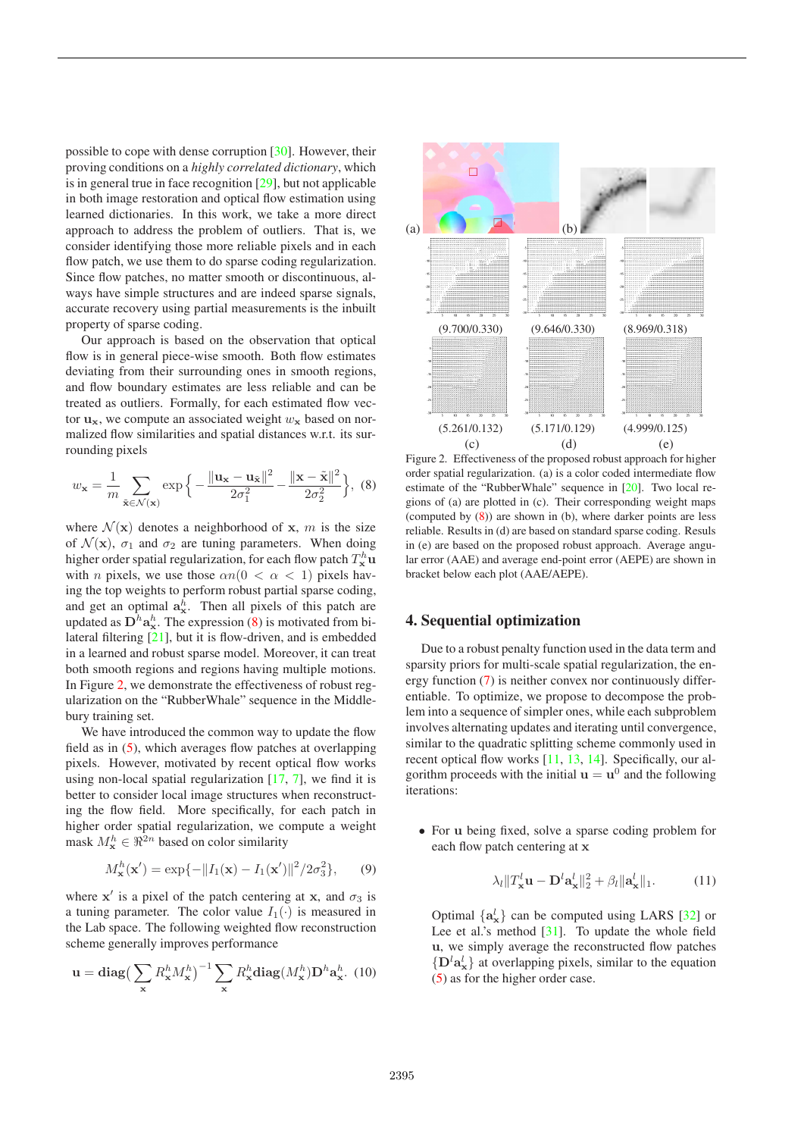possible to cope with dense corruption [30]. However, their proving conditions on a *highly correlated dictionary*, which is in general true in face recognition [29], but not applicable in both image restoration and optical flow estimation using learned dictionaries. In this work, we take a more direct approach to address the problem of outliers. That is, we consider identifying those more reliable pixels and in each flow patch, we use them to do sparse coding regularization. Since flow patches, no matter smooth or discontinuous, always have simple structures and are indeed sparse signals, accurate recovery using partial measurements is the inbuilt property of sparse coding.

Our approach is based on the observation that optical flow is in general piece-wise smooth. Both flow estimates deviating from their surrounding ones in smooth regions, and flow boundary estimates are less reliable and can be treated as outliers. Formally, for each estimated flow vector  $\mathbf{u}_\mathbf{x}$ , we compute an associated weight  $w_\mathbf{x}$  based on normalized flow similarities and spatial distances w.r.t. its surrounding pixels

$$
w_{\mathbf{x}} = \frac{1}{m} \sum_{\tilde{\mathbf{x}} \in \mathcal{N}(\mathbf{x})} \exp\left\{-\frac{\|\mathbf{u}_{\mathbf{x}} - \mathbf{u}_{\tilde{\mathbf{x}}}\|^2}{2\sigma_1^2} - \frac{\|\mathbf{x} - \tilde{\mathbf{x}}\|^2}{2\sigma_2^2}\right\},\tag{8}
$$

where  $\mathcal{N}(\mathbf{x})$  denotes a neighborhood of **x**, *m* is the size of  $\mathcal{N}(\mathbf{x})$ ,  $\sigma_1$  and  $\sigma_2$  are tuning parameters. When doing higher order spatial regularization, for each flow patch  $T^h_{\mathbf{x}}\mathbf{u}$ with *n* pixels, we use those  $\alpha n(0 < \alpha < 1)$  pixels having the top weights to perform robust partial sparse coding, and get an optimal  $a_x^h$ . Then all pixels of this patch are updated as  $D^h$ **a**<sub>x</sub><sup>h</sup>. The expression (8) is motivated from bilateral filtering [21], but it is flow-driven, and is embedded in a learned and robust sparse model. Moreover, it can treat both smooth regions and regions having multiple motions. In Figure 2, we demonstrate the effectiveness of robust regularization on the "RubberWhale" sequence in the Middlebury training set.

We have introduced the common way to update the flow field as in (5), which averages flow patches at overlapping pixels. However, motivated by recent optical flow works using non-local spatial regularization [17, 7], we find it is better to consider local image structures when reconstructing the flow field. More specifically, for each patch in higher order spatial regularization, we compute a weight mask  $M_{\mathbf{x}}^h \in \Re^{2n}$  based on color similarity

$$
M_{\mathbf{x}}^{h}(\mathbf{x}') = \exp\{-\|I_{1}(\mathbf{x}) - I_{1}(\mathbf{x}')\|^{2}/2\sigma_{3}^{2}\},\qquad(9)
$$

where **x**' is a pixel of the patch centering at **x**, and  $\sigma_3$  is a tuning parameter. The color value  $I_1(\cdot)$  is measured in the Lab space. The following weighted flow reconstruction scheme generally improves performance

$$
\mathbf{u} = \text{diag}\left(\sum_{\mathbf{x}} R_{\mathbf{x}}^h M_{\mathbf{x}}^h\right)^{-1} \sum_{\mathbf{x}} R_{\mathbf{x}}^h \text{diag}(M_{\mathbf{x}}^h) \mathbf{D}^h \mathbf{a}_{\mathbf{x}}^h. (10)
$$



Figure 2. Effectiveness of the proposed robust approach for higher order spatial regularization. (a) is a color coded intermediate flow estimate of the "RubberWhale" sequence in [20]. Two local regions of (a) are plotted in (c). Their corresponding weight maps (computed by (8)) are shown in (b), where darker points are less reliable. Results in (d) are based on standard sparse coding. Resuls in (e) are based on the proposed robust approach. Average angular error (AAE) and average end-point error (AEPE) are shown in bracket below each plot (AAE/AEPE).

#### **4. Sequential optimization**

Due to a robust penalty function used in the data term and sparsity priors for multi-scale spatial regularization, the energy function (7) is neither convex nor continuously differentiable. To optimize, we propose to decompose the problem into a sequence of simpler ones, while each subproblem involves alternating updates and iterating until convergence, similar to the quadratic splitting scheme commonly used in recent optical flow works [11, 13, 14]. Specifically, our algorithm proceeds with the initial  $\mathbf{u} = \mathbf{u}^0$  and the following iterations:

• For **u** being fixed, solve a sparse coding problem for each flow patch centering at **x**

$$
\lambda_l \|T_\mathbf{x}^l \mathbf{u} - \mathbf{D}^l \mathbf{a}_\mathbf{x}^l\|_2^2 + \beta_l \| \mathbf{a}_\mathbf{x}^l \|_1. \tag{11}
$$

Optimal  $\{a_x^l\}$  can be computed using LARS [32] or Lee et al.'s method  $[31]$ . To update the whole field **u**, we simply average the reconstructed flow patches  $\{D^l a^l_{\bf x}\}\$  at overlapping pixels, similar to the equation (5) as for the higher order case.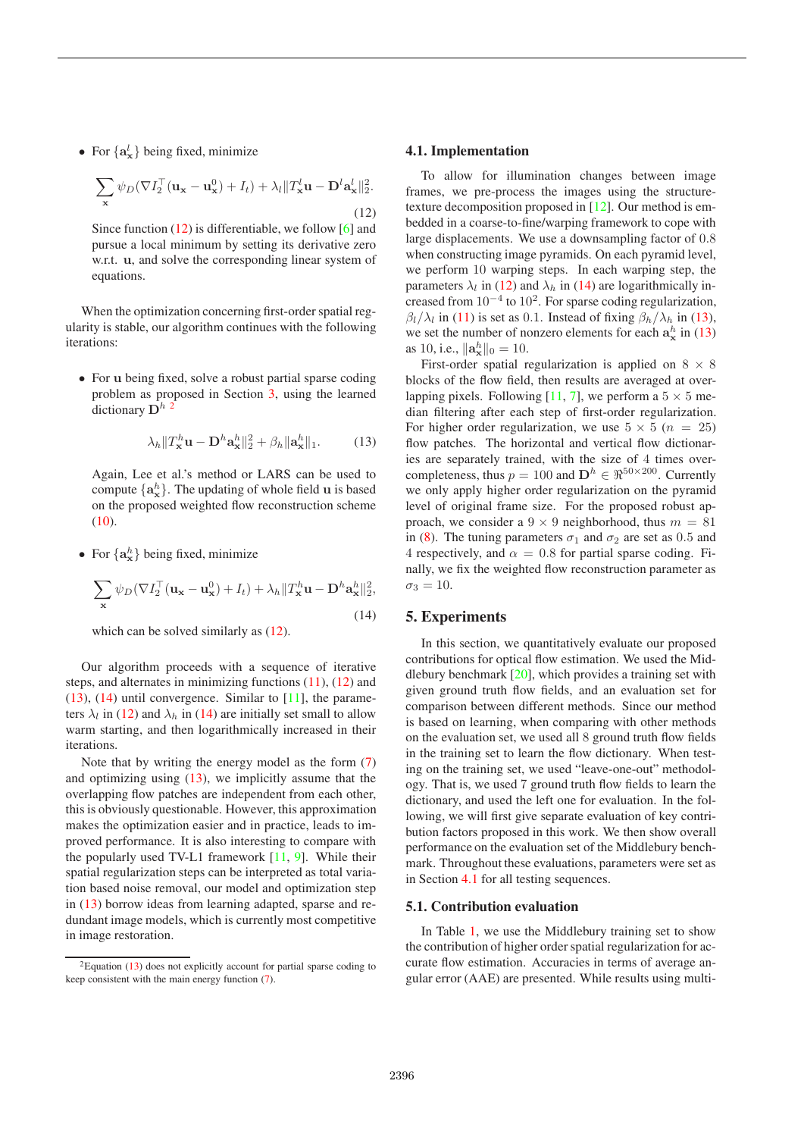• For  $\{a_x^l\}$  being fixed, minimize

$$
\sum_{\mathbf{x}} \psi_D (\nabla I_2^{\top} (\mathbf{u}_{\mathbf{x}} - \mathbf{u}_{\mathbf{x}}^0) + I_t) + \lambda_l \| T_{\mathbf{x}}^l \mathbf{u} - \mathbf{D}^l \mathbf{a}_{\mathbf{x}}^l \|_2^2.
$$
\n(12)

Since function  $(12)$  is differentiable, we follow [6] and pursue a local minimum by setting its derivative zero w.r.t. **u**, and solve the corresponding linear system of equations.

When the optimization concerning first-order spatial regularity is stable, our algorithm continues with the following iterations:

• For **u** being fixed, solve a robust partial sparse coding problem as proposed in Section 3, using the learned dictionary  $D^h$ <sup>2</sup>

$$
\lambda_h \|T_\mathbf{x}^h \mathbf{u} - \mathbf{D}^h \mathbf{a}_\mathbf{x}^h\|_2^2 + \beta_h \|\mathbf{a}_\mathbf{x}^h\|_1. \tag{13}
$$

Again, Lee et al.'s method or LARS can be used to compute  $\{a_{\bf x}^h\}$ . The updating of whole field **u** is based on the proposed weighted flow reconstruction scheme  $(10).$ 

• For  $\{a^h_{\bf x}\}\$  being fixed, minimize

$$
\sum_{\mathbf{x}} \psi_D (\nabla I_2^{\top} (\mathbf{u}_{\mathbf{x}} - \mathbf{u}_{\mathbf{x}}^0) + I_t) + \lambda_h \| T_{\mathbf{x}}^h \mathbf{u} - \mathbf{D}^h \mathbf{a}_{\mathbf{x}}^h \|_2^2,
$$
\n(14)

which can be solved similarly as  $(12)$ .

Our algorithm proceeds with a sequence of iterative steps, and alternates in minimizing functions  $(11)$ ,  $(12)$  and  $(13)$ ,  $(14)$  until convergence. Similar to  $[11]$ , the parameters  $\lambda_l$  in (12) and  $\lambda_h$  in (14) are initially set small to allow warm starting, and then logarithmically increased in their iterations.

Note that by writing the energy model as the form (7) and optimizing using (13), we implicitly assume that the overlapping flow patches are independent from each other, this is obviously questionable. However, this approximation makes the optimization easier and in practice, leads to improved performance. It is also interesting to compare with the popularly used TV-L1 framework [11, 9]. While their spatial regularization steps can be interpreted as total variation based noise removal, our model and optimization step in (13) borrow ideas from learning adapted, sparse and redundant image models, which is currently most competitive in image restoration.

#### **4.1. Implementation**

To allow for illumination changes between image frames, we pre-process the images using the structuretexture decomposition proposed in [12]. Our method is embedded in a coarse-to-fine/warping framework to cope with large displacements. We use a downsampling factor of 0.8 when constructing image pyramids. On each pyramid level, we perform 10 warping steps. In each warping step, the parameters  $\lambda_l$  in (12) and  $\lambda_h$  in (14) are logarithmically increased from  $10^{-4}$  to  $10^2$ . For sparse coding regularization,  $\beta_l/\lambda_l$  in (11) is set as 0.1. Instead of fixing  $\beta_h/\lambda_h$  in (13), we set the number of nonzero elements for each  $a_x^h$  in (13) as 10, i.e.,  $\|\mathbf{a}_{\mathbf{x}}^{h}\|_{0} = 10$ .

First-order spatial regularization is applied on  $8 \times 8$ blocks of the flow field, then results are averaged at overlapping pixels. Following [11, 7], we perform a  $5 \times 5$  median filtering after each step of first-order regularization. For higher order regularization, we use  $5 \times 5$  ( $n = 25$ ) flow patches. The horizontal and vertical flow dictionaries are separately trained, with the size of 4 times overcompleteness, thus  $p = 100$  and  $\mathbf{D}^h \in \mathbb{R}^{50 \times 200}$ . Currently we only apply higher order regularization on the pyramid level of original frame size. For the proposed robust approach, we consider a  $9 \times 9$  neighborhood, thus  $m = 81$ in (8). The tuning parameters  $\sigma_1$  and  $\sigma_2$  are set as 0.5 and 4 respectively, and  $\alpha = 0.8$  for partial sparse coding. Finally, we fix the weighted flow reconstruction parameter as  $\sigma_3=10.$ 

## **5. Experiments**

In this section, we quantitatively evaluate our proposed contributions for optical flow estimation. We used the Middlebury benchmark [20], which provides a training set with given ground truth flow fields, and an evaluation set for comparison between different methods. Since our method is based on learning, when comparing with other methods on the evaluation set, we used all 8 ground truth flow fields in the training set to learn the flow dictionary. When testing on the training set, we used "leave-one-out" methodology. That is, we used 7 ground truth flow fields to learn the dictionary, and used the left one for evaluation. In the following, we will first give separate evaluation of key contribution factors proposed in this work. We then show overall performance on the evaluation set of the Middlebury benchmark. Throughout these evaluations, parameters were set as in Section 4.1 for all testing sequences.

## **5.1. Contribution evaluation**

In Table 1, we use the Middlebury training set to show the contribution of higher order spatial regularization for accurate flow estimation. Accuracies in terms of average angular error (AAE) are presented. While results using multi-

 ${}^{2}$ Equation (13) does not explicitly account for partial sparse coding to keep consistent with the main energy function (7).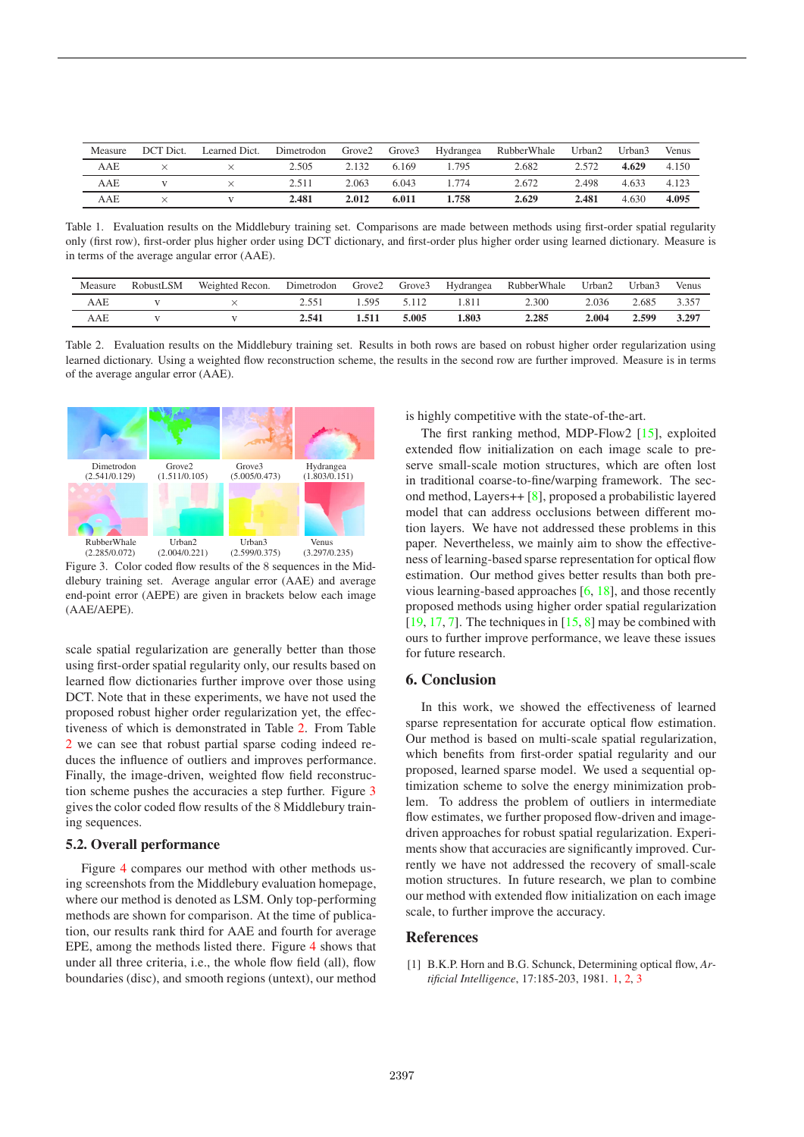| Measure | DCT Dict. | Learned Dict. | Dimetrodon | Grove2 | Grove3 | Hydrangea | <b>RubberWhale</b> | Urban2 | Urban3 | Venus |
|---------|-----------|---------------|------------|--------|--------|-----------|--------------------|--------|--------|-------|
| AAE     |           |               | 2.505      | 2.132  | 6.169  | .795      | 2.682              | 2.572  | 4.629  | 4.150 |
| AAE     |           |               | 2.511      | 2.063  | 6.043  | .774      | 2.672              | 2.498  | 4.633  | 4.123 |
| AAE     |           |               | 2.481      | 2.012  | 6.011  | .758      | 2.629              | 2.481  | 4.630  | 4.095 |

Table 1. Evaluation results on the Middlebury training set. Comparisons are made between methods using first-order spatial regularity only (first row), first-order plus higher order using DCT dictionary, and first-order plus higher order using learned dictionary. Measure is in terms of the average angular error (AAE).

| Measure | RobustLSM | Weighted Recon. | Dimetrodon | Grove2 | Grove3 | Hydrangea | RubberWhale | Urban2 | Urban3 | <b>Venus</b> |
|---------|-----------|-----------------|------------|--------|--------|-----------|-------------|--------|--------|--------------|
| AAE     |           |                 | 2.551      | .595   |        | .811      | 2.300       | 2.036  | 2.685  | 3.357        |
| AAE     |           |                 | 2.541      |        | 5.005  | 1.803     | 2.285       | 2.004  | 2.599  | 3.297        |

Table 2. Evaluation results on the Middlebury training set. Results in both rows are based on robust higher order regularization using learned dictionary. Using a weighted flow reconstruction scheme, the results in the second row are further improved. Measure is in terms of the average angular error (AAE).



Figure 3. Color coded flow results of the 8 sequences in the Middlebury training set. Average angular error (AAE) and average end-point error (AEPE) are given in brackets below each image (AAE/AEPE).

scale spatial regularization are generally better than those using first-order spatial regularity only, our results based on learned flow dictionaries further improve over those using DCT. Note that in these experiments, we have not used the proposed robust higher order regularization yet, the effectiveness of which is demonstrated in Table 2. From Table 2 we can see that robust partial sparse coding indeed reduces the influence of outliers and improves performance. Finally, the image-driven, weighted flow field reconstruction scheme pushes the accuracies a step further. Figure 3 gives the color coded flow results of the 8 Middlebury training sequences.

#### **5.2. Overall performance**

Figure 4 compares our method with other methods using screenshots from the Middlebury evaluation homepage, where our method is denoted as LSM. Only top-performing methods are shown for comparison. At the time of publication, our results rank third for AAE and fourth for average EPE, among the methods listed there. Figure 4 shows that under all three criteria, i.e., the whole flow field (all), flow boundaries (disc), and smooth regions (untext), our method is highly competitive with the state-of-the-art.

The first ranking method, MDP-Flow2 [15], exploited extended flow initialization on each image scale to preserve small-scale motion structures, which are often lost in traditional coarse-to-fine/warping framework. The second method, Layers++ [8], proposed a probabilistic layered model that can address occlusions between different motion layers. We have not addressed these problems in this paper. Nevertheless, we mainly aim to show the effectiveness of learning-based sparse representation for optical flow estimation. Our method gives better results than both previous learning-based approaches [6, 18], and those recently proposed methods using higher order spatial regularization  $[19, 17, 7]$ . The techniques in  $[15, 8]$  may be combined with ours to further improve performance, we leave these issues for future research.

## **6. Conclusion**

In this work, we showed the effectiveness of learned sparse representation for accurate optical flow estimation. Our method is based on multi-scale spatial regularization, which benefits from first-order spatial regularity and our proposed, learned sparse model. We used a sequential optimization scheme to solve the energy minimization problem. To address the problem of outliers in intermediate flow estimates, we further proposed flow-driven and imagedriven approaches for robust spatial regularization. Experiments show that accuracies are significantly improved. Currently we have not addressed the recovery of small-scale motion structures. In future research, we plan to combine our method with extended flow initialization on each image scale, to further improve the accuracy.

#### **References**

[1] B.K.P. Horn and B.G. Schunck, Determining optical flow, *Artificial Intelligence*, 17:185-203, 1981. 1, 2, 3